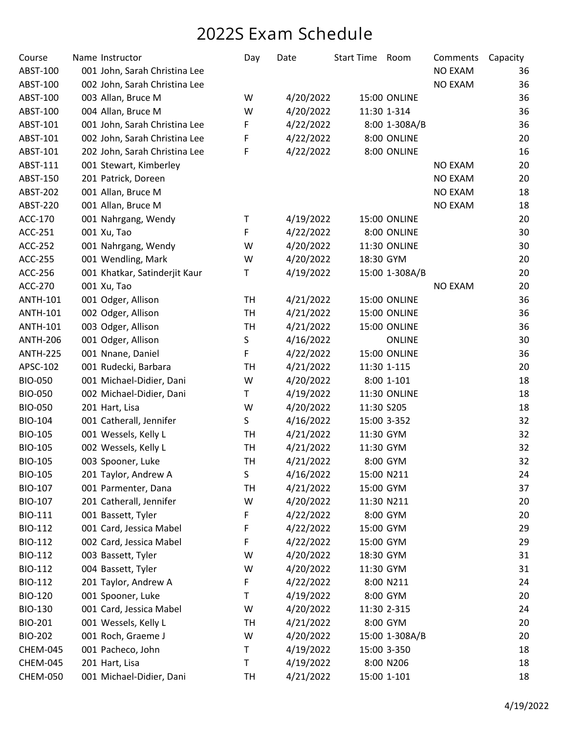| Course          | Name Instructor               | Day       | Date      | Start Time Room |                | Comments       | Capacity |
|-----------------|-------------------------------|-----------|-----------|-----------------|----------------|----------------|----------|
| ABST-100        | 001 John, Sarah Christina Lee |           |           |                 |                | <b>NO EXAM</b> | 36       |
| ABST-100        | 002 John, Sarah Christina Lee |           |           |                 |                | <b>NO EXAM</b> | 36       |
| ABST-100        | 003 Allan, Bruce M            | W         | 4/20/2022 |                 | 15:00 ONLINE   |                | 36       |
| ABST-100        | 004 Allan, Bruce M            | W         | 4/20/2022 |                 | 11:30 1-314    |                | 36       |
| ABST-101        | 001 John, Sarah Christina Lee | F         | 4/22/2022 |                 | 8:00 1-308A/B  |                | 36       |
| ABST-101        | 002 John, Sarah Christina Lee | F         | 4/22/2022 |                 | 8:00 ONLINE    |                | 20       |
| ABST-101        | 202 John, Sarah Christina Lee | F         | 4/22/2022 |                 | 8:00 ONLINE    |                | 16       |
| ABST-111        | 001 Stewart, Kimberley        |           |           |                 |                | <b>NO EXAM</b> | 20       |
| ABST-150        | 201 Patrick, Doreen           |           |           |                 |                | <b>NO EXAM</b> | 20       |
| ABST-202        | 001 Allan, Bruce M            |           |           |                 |                | <b>NO EXAM</b> | 18       |
| ABST-220        | 001 Allan, Bruce M            |           |           |                 |                | <b>NO EXAM</b> | 18       |
| ACC-170         | 001 Nahrgang, Wendy           | Τ         | 4/19/2022 |                 | 15:00 ONLINE   |                | 20       |
| ACC-251         | 001 Xu, Tao                   | F         | 4/22/2022 |                 | 8:00 ONLINE    |                | 30       |
| ACC-252         | 001 Nahrgang, Wendy           | W         | 4/20/2022 |                 | 11:30 ONLINE   |                | 30       |
| ACC-255         | 001 Wendling, Mark            | W         | 4/20/2022 | 18:30 GYM       |                |                | 20       |
| ACC-256         | 001 Khatkar, Satinderjit Kaur | Τ         | 4/19/2022 |                 | 15:00 1-308A/B |                | 20       |
| ACC-270         | 001 Xu, Tao                   |           |           |                 |                | <b>NO EXAM</b> | 20       |
| <b>ANTH-101</b> | 001 Odger, Allison            | <b>TH</b> | 4/21/2022 |                 | 15:00 ONLINE   |                | 36       |
| <b>ANTH-101</b> | 002 Odger, Allison            | <b>TH</b> | 4/21/2022 |                 | 15:00 ONLINE   |                | 36       |
| <b>ANTH-101</b> | 003 Odger, Allison            | <b>TH</b> | 4/21/2022 |                 | 15:00 ONLINE   |                | 36       |
| <b>ANTH-206</b> | 001 Odger, Allison            | S         | 4/16/2022 |                 | <b>ONLINE</b>  |                | 30       |
| <b>ANTH-225</b> | 001 Nnane, Daniel             | F         | 4/22/2022 |                 | 15:00 ONLINE   |                | 36       |
| APSC-102        | 001 Rudecki, Barbara          | <b>TH</b> | 4/21/2022 |                 | 11:30 1-115    |                | 20       |
| <b>BIO-050</b>  | 001 Michael-Didier, Dani      | W         | 4/20/2022 |                 | 8:00 1-101     |                | 18       |
| <b>BIO-050</b>  | 002 Michael-Didier, Dani      | T         | 4/19/2022 |                 | 11:30 ONLINE   |                | 18       |
| <b>BIO-050</b>  | 201 Hart, Lisa                | W         | 4/20/2022 | 11:30 S205      |                |                | 18       |
| <b>BIO-104</b>  | 001 Catherall, Jennifer       | S         | 4/16/2022 |                 | 15:00 3-352    |                | 32       |
| <b>BIO-105</b>  | 001 Wessels, Kelly L          | <b>TH</b> | 4/21/2022 | 11:30 GYM       |                |                | 32       |
| <b>BIO-105</b>  | 002 Wessels, Kelly L          | <b>TH</b> | 4/21/2022 | 11:30 GYM       |                |                | 32       |
| BIO-105         | 003 Spooner, Luke             | <b>TH</b> | 4/21/2022 |                 | 8:00 GYM       |                | 32       |
| <b>BIO-105</b>  | 201 Taylor, Andrew A          | S         | 4/16/2022 |                 | 15:00 N211     |                | 24       |
| BIO-107         | 001 Parmenter, Dana           | TH        | 4/21/2022 | 15:00 GYM       |                |                | 37       |
| <b>BIO-107</b>  | 201 Catherall, Jennifer       | W         | 4/20/2022 |                 | 11:30 N211     |                | 20       |
| <b>BIO-111</b>  | 001 Bassett, Tyler            | F         | 4/22/2022 |                 | 8:00 GYM       |                | 20       |
| BIO-112         | 001 Card, Jessica Mabel       | F         | 4/22/2022 | 15:00 GYM       |                |                | 29       |
| BIO-112         | 002 Card, Jessica Mabel       | F         | 4/22/2022 | 15:00 GYM       |                |                | 29       |
| BIO-112         | 003 Bassett, Tyler            | W         | 4/20/2022 | 18:30 GYM       |                |                | 31       |
| BIO-112         | 004 Bassett, Tyler            | W         | 4/20/2022 | 11:30 GYM       |                |                | 31       |
| BIO-112         | 201 Taylor, Andrew A          | F         | 4/22/2022 |                 | 8:00 N211      |                | 24       |
| <b>BIO-120</b>  | 001 Spooner, Luke             | т         | 4/19/2022 |                 | 8:00 GYM       |                | 20       |
| <b>BIO-130</b>  | 001 Card, Jessica Mabel       | W         | 4/20/2022 |                 | 11:30 2-315    |                | 24       |
| BIO-201         | 001 Wessels, Kelly L          | <b>TH</b> | 4/21/2022 |                 | 8:00 GYM       |                | 20       |
| <b>BIO-202</b>  | 001 Roch, Graeme J            | W         | 4/20/2022 |                 | 15:00 1-308A/B |                | 20       |
| CHEM-045        | 001 Pacheco, John             | T         | 4/19/2022 |                 | 15:00 3-350    |                | 18       |
| CHEM-045        | 201 Hart, Lisa                | Τ         | 4/19/2022 |                 | 8:00 N206      |                | 18       |
| <b>CHEM-050</b> | 001 Michael-Didier, Dani      | TH        | 4/21/2022 |                 | 15:00 1-101    |                | 18       |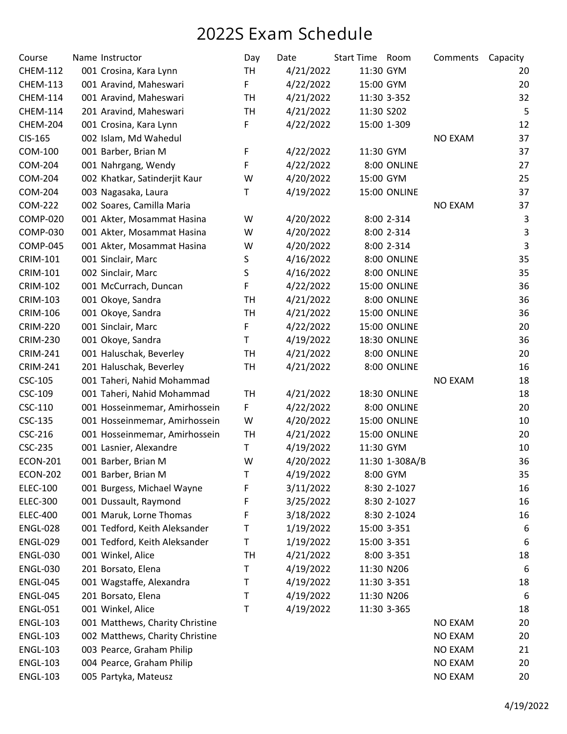| Course          | Name Instructor                 | Day       | Date      | Start Time Room |                     | Comments       | Capacity |
|-----------------|---------------------------------|-----------|-----------|-----------------|---------------------|----------------|----------|
| <b>CHEM-112</b> | 001 Crosina, Kara Lynn          | <b>TH</b> | 4/21/2022 | 11:30 GYM       |                     |                | 20       |
| <b>CHEM-113</b> | 001 Aravind, Maheswari          | F         | 4/22/2022 | 15:00 GYM       |                     |                | 20       |
| <b>CHEM-114</b> | 001 Aravind, Maheswari          | <b>TH</b> | 4/21/2022 |                 | 11:30 3-352         |                | 32       |
| <b>CHEM-114</b> | 201 Aravind, Maheswari          | <b>TH</b> | 4/21/2022 | 11:30 S202      |                     |                | 5        |
| CHEM-204        | 001 Crosina, Kara Lynn          | F         | 4/22/2022 |                 | 15:00 1-309         |                | 12       |
| CIS-165         | 002 Islam, Md Wahedul           |           |           |                 |                     | <b>NO EXAM</b> | 37       |
| COM-100         | 001 Barber, Brian M             | F         | 4/22/2022 | 11:30 GYM       |                     |                | 37       |
| COM-204         | 001 Nahrgang, Wendy             | F         | 4/22/2022 |                 | 8:00 ONLINE         |                | 27       |
| <b>COM-204</b>  | 002 Khatkar, Satinderjit Kaur   | W         | 4/20/2022 | 15:00 GYM       |                     |                | 25       |
| COM-204         | 003 Nagasaka, Laura             | Τ         | 4/19/2022 |                 | 15:00 ONLINE        |                | 37       |
| COM-222         | 002 Soares, Camilla Maria       |           |           |                 |                     | <b>NO EXAM</b> | 37       |
| <b>COMP-020</b> | 001 Akter, Mosammat Hasina      | W         | 4/20/2022 |                 | 8:00 2-314          |                | 3        |
| <b>COMP-030</b> | 001 Akter, Mosammat Hasina      | W         | 4/20/2022 |                 | 8:00 2-314          |                | 3        |
| <b>COMP-045</b> | 001 Akter, Mosammat Hasina      | W         | 4/20/2022 |                 | 8:00 2-314          |                | 3        |
| <b>CRIM-101</b> | 001 Sinclair, Marc              | S         | 4/16/2022 |                 | 8:00 ONLINE         |                | 35       |
| <b>CRIM-101</b> | 002 Sinclair, Marc              | S         | 4/16/2022 |                 | 8:00 ONLINE         |                | 35       |
| <b>CRIM-102</b> | 001 McCurrach, Duncan           | F         | 4/22/2022 |                 | 15:00 ONLINE        |                | 36       |
| <b>CRIM-103</b> | 001 Okoye, Sandra               | <b>TH</b> | 4/21/2022 |                 | 8:00 ONLINE         |                | 36       |
| <b>CRIM-106</b> | 001 Okoye, Sandra               | <b>TH</b> | 4/21/2022 |                 | 15:00 ONLINE        |                | 36       |
| <b>CRIM-220</b> | 001 Sinclair, Marc              | F         | 4/22/2022 |                 | 15:00 ONLINE        |                | 20       |
| <b>CRIM-230</b> | 001 Okoye, Sandra               | T         | 4/19/2022 |                 | 18:30 ONLINE        |                | 36       |
| <b>CRIM-241</b> | 001 Haluschak, Beverley         | <b>TH</b> | 4/21/2022 |                 | 8:00 ONLINE         |                | 20       |
| <b>CRIM-241</b> | 201 Haluschak, Beverley         | <b>TH</b> | 4/21/2022 |                 | 8:00 ONLINE         |                | 16       |
| CSC-105         | 001 Taheri, Nahid Mohammad      |           |           |                 |                     | <b>NO EXAM</b> | 18       |
| CSC-109         | 001 Taheri, Nahid Mohammad      | <b>TH</b> | 4/21/2022 |                 | <b>18:30 ONLINE</b> |                | 18       |
| CSC-110         | 001 Hosseinmemar, Amirhossein   | F         | 4/22/2022 |                 | 8:00 ONLINE         |                | 20       |
| CSC-135         | 001 Hosseinmemar, Amirhossein   | W         | 4/20/2022 |                 | 15:00 ONLINE        |                | 10       |
| CSC-216         | 001 Hosseinmemar, Amirhossein   | <b>TH</b> | 4/21/2022 |                 | 15:00 ONLINE        |                | 20       |
| <b>CSC-235</b>  | 001 Lasnier, Alexandre          | T         | 4/19/2022 | 11:30 GYM       |                     |                | 10       |
| <b>ECON-201</b> | 001 Barber, Brian M             | W         | 4/20/2022 |                 | 11:30 1-308A/B      |                | 36       |
| <b>ECON-202</b> | 001 Barber, Brian M             | т         | 4/19/2022 |                 | 8:00 GYM            |                | 35       |
| <b>ELEC-100</b> | 001 Burgess, Michael Wayne      | F         | 3/11/2022 |                 | 8:30 2-1027         |                | 16       |
| <b>ELEC-300</b> | 001 Dussault, Raymond           | F         | 3/25/2022 |                 | 8:30 2-1027         |                | 16       |
| <b>ELEC-400</b> | 001 Maruk, Lorne Thomas         | F         | 3/18/2022 |                 | 8:30 2-1024         |                | 16       |
| <b>ENGL-028</b> | 001 Tedford, Keith Aleksander   | т         | 1/19/2022 |                 | 15:00 3-351         |                | 6        |
| <b>ENGL-029</b> | 001 Tedford, Keith Aleksander   | Τ         | 1/19/2022 |                 | 15:00 3-351         |                | 6        |
| <b>ENGL-030</b> | 001 Winkel, Alice               | <b>TH</b> | 4/21/2022 |                 | 8:00 3-351          |                | 18       |
| <b>ENGL-030</b> | 201 Borsato, Elena              | Τ         | 4/19/2022 |                 | 11:30 N206          |                | 6        |
| <b>ENGL-045</b> | 001 Wagstaffe, Alexandra        | Τ         | 4/19/2022 |                 | 11:30 3-351         |                | 18       |
| <b>ENGL-045</b> | 201 Borsato, Elena              | т         | 4/19/2022 |                 | 11:30 N206          |                | 6        |
| <b>ENGL-051</b> | 001 Winkel, Alice               | Τ         | 4/19/2022 |                 | 11:30 3-365         |                | 18       |
| <b>ENGL-103</b> | 001 Matthews, Charity Christine |           |           |                 |                     | <b>NO EXAM</b> | 20       |
| <b>ENGL-103</b> | 002 Matthews, Charity Christine |           |           |                 |                     | <b>NO EXAM</b> | 20       |
| <b>ENGL-103</b> | 003 Pearce, Graham Philip       |           |           |                 |                     | NO EXAM        | 21       |
| <b>ENGL-103</b> | 004 Pearce, Graham Philip       |           |           |                 |                     | <b>NO EXAM</b> | 20       |
| <b>ENGL-103</b> | 005 Partyka, Mateusz            |           |           |                 |                     | <b>NO EXAM</b> | 20       |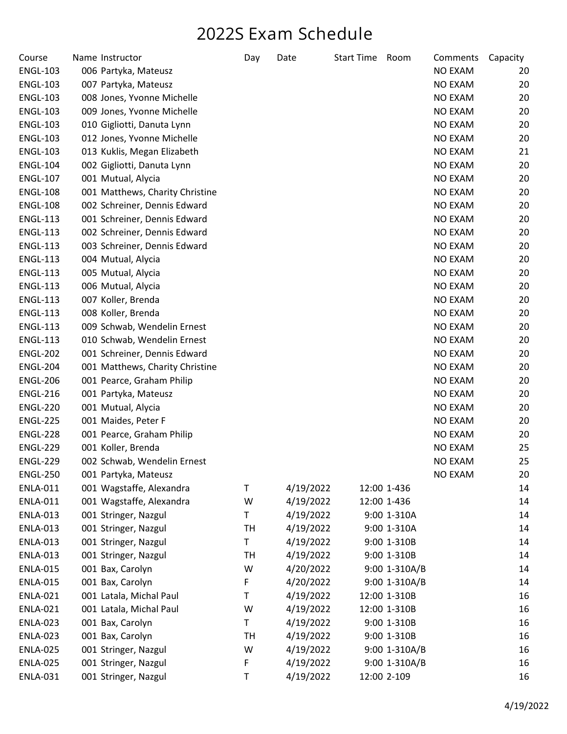| Course          | Name Instructor                 | Day       | Date      | <b>Start Time</b> | Room          | Comments       | Capacity |
|-----------------|---------------------------------|-----------|-----------|-------------------|---------------|----------------|----------|
| <b>ENGL-103</b> | 006 Partyka, Mateusz            |           |           |                   |               | <b>NO EXAM</b> | 20       |
| <b>ENGL-103</b> | 007 Partyka, Mateusz            |           |           |                   |               | NO EXAM        | 20       |
| <b>ENGL-103</b> | 008 Jones, Yvonne Michelle      |           |           |                   |               | NO EXAM        | 20       |
| <b>ENGL-103</b> | 009 Jones, Yvonne Michelle      |           |           |                   |               | NO EXAM        | 20       |
| <b>ENGL-103</b> | 010 Gigliotti, Danuta Lynn      |           |           |                   |               | NO EXAM        | 20       |
| <b>ENGL-103</b> | 012 Jones, Yvonne Michelle      |           |           |                   |               | NO EXAM        | 20       |
| <b>ENGL-103</b> | 013 Kuklis, Megan Elizabeth     |           |           |                   |               | <b>NO EXAM</b> | 21       |
| <b>ENGL-104</b> | 002 Gigliotti, Danuta Lynn      |           |           |                   |               | <b>NO EXAM</b> | 20       |
| <b>ENGL-107</b> | 001 Mutual, Alycia              |           |           |                   |               | NO EXAM        | 20       |
| <b>ENGL-108</b> | 001 Matthews, Charity Christine |           |           |                   |               | NO EXAM        | 20       |
| <b>ENGL-108</b> | 002 Schreiner, Dennis Edward    |           |           |                   |               | NO EXAM        | 20       |
| <b>ENGL-113</b> | 001 Schreiner, Dennis Edward    |           |           |                   |               | NO EXAM        | 20       |
| <b>ENGL-113</b> | 002 Schreiner, Dennis Edward    |           |           |                   |               | NO EXAM        | 20       |
| <b>ENGL-113</b> | 003 Schreiner, Dennis Edward    |           |           |                   |               | NO EXAM        | 20       |
| <b>ENGL-113</b> | 004 Mutual, Alycia              |           |           |                   |               | <b>NO EXAM</b> | 20       |
| <b>ENGL-113</b> | 005 Mutual, Alycia              |           |           |                   |               | <b>NO EXAM</b> | 20       |
| <b>ENGL-113</b> | 006 Mutual, Alycia              |           |           |                   |               | NO EXAM        | 20       |
| <b>ENGL-113</b> | 007 Koller, Brenda              |           |           |                   |               | NO EXAM        | 20       |
| <b>ENGL-113</b> | 008 Koller, Brenda              |           |           |                   |               | <b>NO EXAM</b> | 20       |
| <b>ENGL-113</b> | 009 Schwab, Wendelin Ernest     |           |           |                   |               | NO EXAM        | 20       |
| <b>ENGL-113</b> | 010 Schwab, Wendelin Ernest     |           |           |                   |               | NO EXAM        | 20       |
| <b>ENGL-202</b> | 001 Schreiner, Dennis Edward    |           |           |                   |               | NO EXAM        | 20       |
| <b>ENGL-204</b> | 001 Matthews, Charity Christine |           |           |                   |               | NO EXAM        | 20       |
| <b>ENGL-206</b> | 001 Pearce, Graham Philip       |           |           |                   |               | NO EXAM        | 20       |
| <b>ENGL-216</b> | 001 Partyka, Mateusz            |           |           |                   |               | NO EXAM        | 20       |
| <b>ENGL-220</b> | 001 Mutual, Alycia              |           |           |                   |               | NO EXAM        | 20       |
| <b>ENGL-225</b> | 001 Maides, Peter F             |           |           |                   |               | NO EXAM        | 20       |
| ENGL-228        | 001 Pearce, Graham Philip       |           |           |                   |               | NO EXAM        | 20       |
| <b>ENGL-229</b> | 001 Koller, Brenda              |           |           |                   |               | <b>NO EXAM</b> | 25       |
| <b>ENGL-229</b> | 002 Schwab, Wendelin Ernest     |           |           |                   |               | <b>NO EXAM</b> | 25       |
| <b>ENGL-250</b> | 001 Partyka, Mateusz            |           |           |                   |               | <b>NO EXAM</b> | 20       |
| <b>ENLA-011</b> | 001 Wagstaffe, Alexandra        | Τ         | 4/19/2022 |                   | 12:00 1-436   |                | 14       |
| <b>ENLA-011</b> | 001 Wagstaffe, Alexandra        | W         | 4/19/2022 |                   | 12:00 1-436   |                | 14       |
| <b>ENLA-013</b> | 001 Stringer, Nazgul            | T         | 4/19/2022 |                   | 9:00 1-310A   |                | 14       |
| <b>ENLA-013</b> | 001 Stringer, Nazgul            | TH        | 4/19/2022 |                   | 9:00 1-310A   |                | 14       |
| <b>ENLA-013</b> | 001 Stringer, Nazgul            | T         | 4/19/2022 |                   | 9:00 1-310B   |                | 14       |
| <b>ENLA-013</b> | 001 Stringer, Nazgul            | TH        | 4/19/2022 |                   | 9:00 1-310B   |                | 14       |
| <b>ENLA-015</b> | 001 Bax, Carolyn                | W         | 4/20/2022 |                   | 9:00 1-310A/B |                | 14       |
| <b>ENLA-015</b> | 001 Bax, Carolyn                | F         | 4/20/2022 |                   | 9:00 1-310A/B |                | 14       |
| <b>ENLA-021</b> | 001 Latala, Michal Paul         | т         | 4/19/2022 |                   | 12:00 1-310B  |                | 16       |
| <b>ENLA-021</b> | 001 Latala, Michal Paul         | W         | 4/19/2022 |                   | 12:00 1-310B  |                | 16       |
| <b>ENLA-023</b> | 001 Bax, Carolyn                | T         | 4/19/2022 |                   | 9:00 1-310B   |                | 16       |
| <b>ENLA-023</b> | 001 Bax, Carolyn                | <b>TH</b> | 4/19/2022 |                   | 9:00 1-310B   |                | 16       |
| <b>ENLA-025</b> | 001 Stringer, Nazgul            | W         | 4/19/2022 |                   | 9:00 1-310A/B |                | 16       |
| <b>ENLA-025</b> | 001 Stringer, Nazgul            | F         | 4/19/2022 |                   | 9:00 1-310A/B |                | 16       |
| <b>ENLA-031</b> | 001 Stringer, Nazgul            | Τ         | 4/19/2022 |                   | 12:00 2-109   |                | 16       |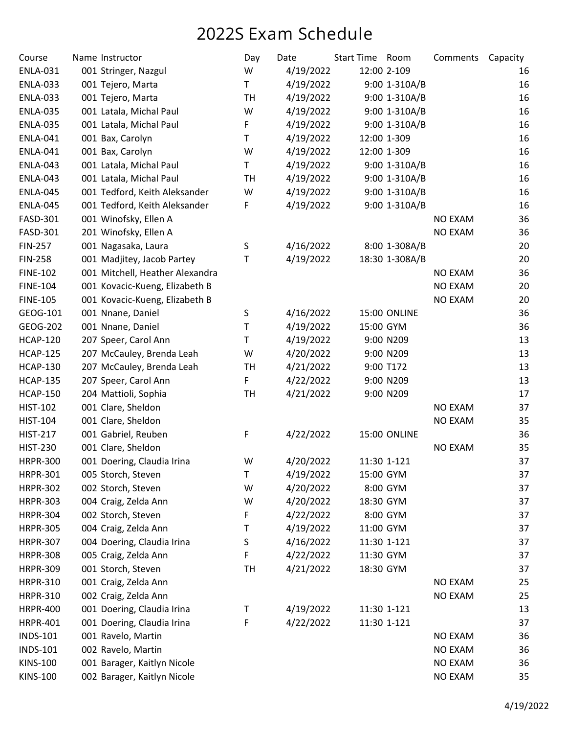| Course          | Name Instructor                 | Day       | Date      | <b>Start Time</b> | Room           | Comments       | Capacity |
|-----------------|---------------------------------|-----------|-----------|-------------------|----------------|----------------|----------|
| <b>ENLA-031</b> | 001 Stringer, Nazgul            | W         | 4/19/2022 |                   | 12:00 2-109    |                | 16       |
| <b>ENLA-033</b> | 001 Tejero, Marta               | T         | 4/19/2022 |                   | 9:00 1-310A/B  |                | 16       |
| <b>ENLA-033</b> | 001 Tejero, Marta               | <b>TH</b> | 4/19/2022 |                   | 9:00 1-310A/B  |                | 16       |
| <b>ENLA-035</b> | 001 Latala, Michal Paul         | W         | 4/19/2022 |                   | 9:00 1-310A/B  |                | 16       |
| <b>ENLA-035</b> | 001 Latala, Michal Paul         | F         | 4/19/2022 |                   | 9:00 1-310A/B  |                | 16       |
| <b>ENLA-041</b> | 001 Bax, Carolyn                | T         | 4/19/2022 |                   | 12:00 1-309    |                | 16       |
| <b>ENLA-041</b> | 001 Bax, Carolyn                | W         | 4/19/2022 |                   | 12:00 1-309    |                | 16       |
| <b>ENLA-043</b> | 001 Latala, Michal Paul         | T         | 4/19/2022 |                   | 9:00 1-310A/B  |                | 16       |
| <b>ENLA-043</b> | 001 Latala, Michal Paul         | TH        | 4/19/2022 |                   | 9:00 1-310A/B  |                | 16       |
| <b>ENLA-045</b> | 001 Tedford, Keith Aleksander   | W         | 4/19/2022 |                   | 9:00 1-310A/B  |                | 16       |
| <b>ENLA-045</b> | 001 Tedford, Keith Aleksander   | F         | 4/19/2022 |                   | 9:00 1-310A/B  |                | 16       |
| FASD-301        | 001 Winofsky, Ellen A           |           |           |                   |                | <b>NO EXAM</b> | 36       |
| FASD-301        | 201 Winofsky, Ellen A           |           |           |                   |                | <b>NO EXAM</b> | 36       |
| <b>FIN-257</b>  | 001 Nagasaka, Laura             | $\sf S$   | 4/16/2022 |                   | 8:00 1-308A/B  |                | 20       |
| <b>FIN-258</b>  | 001 Madjitey, Jacob Partey      | Τ         | 4/19/2022 |                   | 18:30 1-308A/B |                | 20       |
| <b>FINE-102</b> | 001 Mitchell, Heather Alexandra |           |           |                   |                | <b>NO EXAM</b> | 36       |
| <b>FINE-104</b> | 001 Kovacic-Kueng, Elizabeth B  |           |           |                   |                | <b>NO EXAM</b> | 20       |
| <b>FINE-105</b> | 001 Kovacic-Kueng, Elizabeth B  |           |           |                   |                | <b>NO EXAM</b> | 20       |
| GEOG-101        | 001 Nnane, Daniel               | S         | 4/16/2022 |                   | 15:00 ONLINE   |                | 36       |
| GEOG-202        | 001 Nnane, Daniel               | T         | 4/19/2022 | 15:00 GYM         |                |                | 36       |
| <b>HCAP-120</b> | 207 Speer, Carol Ann            | T         | 4/19/2022 |                   | 9:00 N209      |                | 13       |
| <b>HCAP-125</b> | 207 McCauley, Brenda Leah       | W         | 4/20/2022 |                   | 9:00 N209      |                | 13       |
| <b>HCAP-130</b> | 207 McCauley, Brenda Leah       | <b>TH</b> | 4/21/2022 |                   | 9:00 T172      |                | 13       |
| <b>HCAP-135</b> | 207 Speer, Carol Ann            | F         | 4/22/2022 |                   | 9:00 N209      |                | 13       |
| <b>HCAP-150</b> | 204 Mattioli, Sophia            | <b>TH</b> | 4/21/2022 |                   | 9:00 N209      |                | 17       |
| <b>HIST-102</b> | 001 Clare, Sheldon              |           |           |                   |                | <b>NO EXAM</b> | 37       |
| <b>HIST-104</b> | 001 Clare, Sheldon              |           |           |                   |                | <b>NO EXAM</b> | 35       |
| <b>HIST-217</b> | 001 Gabriel, Reuben             | F         | 4/22/2022 |                   | 15:00 ONLINE   |                | 36       |
| <b>HIST-230</b> | 001 Clare, Sheldon              |           |           |                   |                | <b>NO EXAM</b> | 35       |
| <b>HRPR-300</b> | 001 Doering, Claudia Irina      | W         | 4/20/2022 |                   | 11:30 1-121    |                | 37       |
| <b>HRPR-301</b> | 005 Storch, Steven              | Τ         | 4/19/2022 | 15:00 GYM         |                |                | 37       |
| <b>HRPR-302</b> | 002 Storch, Steven              | W         | 4/20/2022 |                   | 8:00 GYM       |                | 37       |
| <b>HRPR-303</b> | 004 Craig, Zelda Ann            | W         | 4/20/2022 | 18:30 GYM         |                |                | 37       |
| <b>HRPR-304</b> | 002 Storch, Steven              | F         | 4/22/2022 |                   | 8:00 GYM       |                | 37       |
| <b>HRPR-305</b> | 004 Craig, Zelda Ann            | т         | 4/19/2022 | 11:00 GYM         |                |                | 37       |
| <b>HRPR-307</b> | 004 Doering, Claudia Irina      | S         | 4/16/2022 |                   | 11:30 1-121    |                | 37       |
| <b>HRPR-308</b> | 005 Craig, Zelda Ann            | F         | 4/22/2022 | 11:30 GYM         |                |                | 37       |
| <b>HRPR-309</b> | 001 Storch, Steven              | <b>TH</b> | 4/21/2022 | 18:30 GYM         |                |                | 37       |
| <b>HRPR-310</b> | 001 Craig, Zelda Ann            |           |           |                   |                | <b>NO EXAM</b> | 25       |
| <b>HRPR-310</b> | 002 Craig, Zelda Ann            |           |           |                   |                | <b>NO EXAM</b> | 25       |
| <b>HRPR-400</b> | 001 Doering, Claudia Irina      | т         | 4/19/2022 |                   | 11:30 1-121    |                | 13       |
| <b>HRPR-401</b> | 001 Doering, Claudia Irina      | F         | 4/22/2022 |                   | 11:30 1-121    |                | 37       |
| <b>INDS-101</b> | 001 Ravelo, Martin              |           |           |                   |                | <b>NO EXAM</b> | 36       |
| <b>INDS-101</b> | 002 Ravelo, Martin              |           |           |                   |                | <b>NO EXAM</b> | 36       |
| <b>KINS-100</b> | 001 Barager, Kaitlyn Nicole     |           |           |                   |                | NO EXAM        | 36       |
| <b>KINS-100</b> | 002 Barager, Kaitlyn Nicole     |           |           |                   |                | <b>NO EXAM</b> | 35       |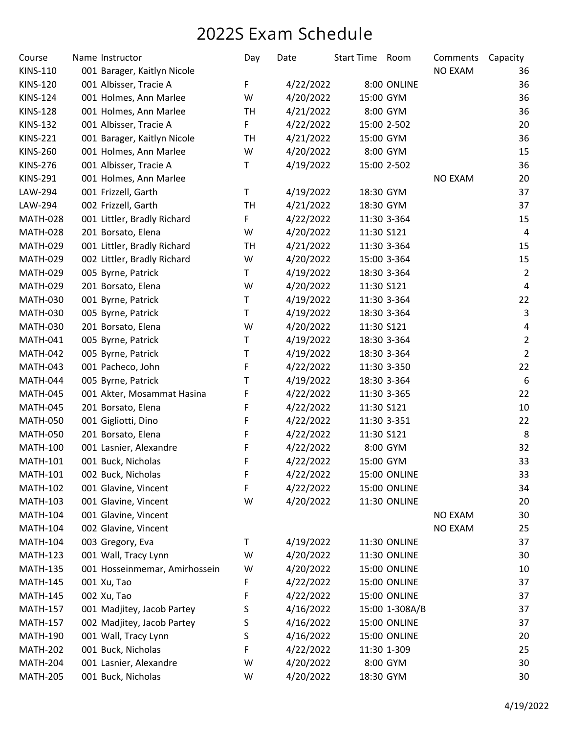| Course          | Name Instructor               | Day       | Date      | Start Time Room |                     | Comments       | Capacity                |
|-----------------|-------------------------------|-----------|-----------|-----------------|---------------------|----------------|-------------------------|
| <b>KINS-110</b> | 001 Barager, Kaitlyn Nicole   |           |           |                 |                     | <b>NO EXAM</b> | 36                      |
| <b>KINS-120</b> | 001 Albisser, Tracie A        | F         | 4/22/2022 |                 | 8:00 ONLINE         |                | 36                      |
| <b>KINS-124</b> | 001 Holmes, Ann Marlee        | W         | 4/20/2022 | 15:00 GYM       |                     |                | 36                      |
| <b>KINS-128</b> | 001 Holmes, Ann Marlee        | TH        | 4/21/2022 |                 | 8:00 GYM            |                | 36                      |
| <b>KINS-132</b> | 001 Albisser, Tracie A        | F         | 4/22/2022 |                 | 15:00 2-502         |                | 20                      |
| <b>KINS-221</b> | 001 Barager, Kaitlyn Nicole   | TH        | 4/21/2022 | 15:00 GYM       |                     |                | 36                      |
| <b>KINS-260</b> | 001 Holmes, Ann Marlee        | W         | 4/20/2022 |                 | 8:00 GYM            |                | 15                      |
| <b>KINS-276</b> | 001 Albisser, Tracie A        | Τ         | 4/19/2022 |                 | 15:00 2-502         |                | 36                      |
| <b>KINS-291</b> | 001 Holmes, Ann Marlee        |           |           |                 |                     | <b>NO EXAM</b> | 20                      |
| LAW-294         | 001 Frizzell, Garth           | T         | 4/19/2022 | 18:30 GYM       |                     |                | 37                      |
| LAW-294         | 002 Frizzell, Garth           | <b>TH</b> | 4/21/2022 | 18:30 GYM       |                     |                | 37                      |
| <b>MATH-028</b> | 001 Littler, Bradly Richard   | F         | 4/22/2022 |                 | 11:30 3-364         |                | 15                      |
| <b>MATH-028</b> | 201 Borsato, Elena            | W         | 4/20/2022 | 11:30 S121      |                     |                | $\overline{a}$          |
| <b>MATH-029</b> | 001 Littler, Bradly Richard   | TH        | 4/21/2022 |                 | 11:30 3-364         |                | 15                      |
| <b>MATH-029</b> | 002 Littler, Bradly Richard   | W         | 4/20/2022 |                 | 15:00 3-364         |                | 15                      |
| <b>MATH-029</b> | 005 Byrne, Patrick            | T.        | 4/19/2022 |                 | 18:30 3-364         |                | $\overline{2}$          |
| <b>MATH-029</b> | 201 Borsato, Elena            | W         | 4/20/2022 | 11:30 S121      |                     |                | $\pmb{4}$               |
| <b>MATH-030</b> | 001 Byrne, Patrick            | Τ         | 4/19/2022 |                 | 11:30 3-364         |                | 22                      |
| <b>MATH-030</b> | 005 Byrne, Patrick            | T         | 4/19/2022 |                 | 18:30 3-364         |                | 3                       |
| <b>MATH-030</b> | 201 Borsato, Elena            | W         | 4/20/2022 | 11:30 S121      |                     |                | $\overline{\mathbf{4}}$ |
| <b>MATH-041</b> | 005 Byrne, Patrick            | Τ         | 4/19/2022 |                 | 18:30 3-364         |                | $\overline{2}$          |
| <b>MATH-042</b> | 005 Byrne, Patrick            | T         | 4/19/2022 |                 | 18:30 3-364         |                | $\overline{2}$          |
| <b>MATH-043</b> | 001 Pacheco, John             | F         | 4/22/2022 |                 | 11:30 3-350         |                | 22                      |
| <b>MATH-044</b> | 005 Byrne, Patrick            | т         | 4/19/2022 |                 | 18:30 3-364         |                | 6                       |
| <b>MATH-045</b> | 001 Akter, Mosammat Hasina    | F         | 4/22/2022 |                 | 11:30 3-365         |                | 22                      |
| <b>MATH-045</b> | 201 Borsato, Elena            | F         | 4/22/2022 | 11:30 S121      |                     |                | 10                      |
| <b>MATH-050</b> | 001 Gigliotti, Dino           | F         | 4/22/2022 |                 | 11:30 3-351         |                | 22                      |
| <b>MATH-050</b> | 201 Borsato, Elena            | F         | 4/22/2022 | 11:30 S121      |                     |                | 8                       |
| <b>MATH-100</b> | 001 Lasnier, Alexandre        | F         | 4/22/2022 |                 | 8:00 GYM            |                | 32                      |
| <b>MATH-101</b> | 001 Buck, Nicholas            | F         | 4/22/2022 | 15:00 GYM       |                     |                | 33                      |
| <b>MATH-101</b> | 002 Buck, Nicholas            | F         | 4/22/2022 |                 | <b>15:00 ONLINE</b> |                | 33                      |
| <b>MATH-102</b> | 001 Glavine, Vincent          | F         | 4/22/2022 |                 | 15:00 ONLINE        |                | 34                      |
| <b>MATH-103</b> | 001 Glavine, Vincent          | W         | 4/20/2022 |                 | 11:30 ONLINE        |                | 20                      |
| <b>MATH-104</b> | 001 Glavine, Vincent          |           |           |                 |                     | <b>NO EXAM</b> | 30                      |
| <b>MATH-104</b> | 002 Glavine, Vincent          |           |           |                 |                     | <b>NO EXAM</b> | 25                      |
| <b>MATH-104</b> | 003 Gregory, Eva              | Т         | 4/19/2022 |                 | 11:30 ONLINE        |                | 37                      |
| <b>MATH-123</b> | 001 Wall, Tracy Lynn          | W         | 4/20/2022 |                 | 11:30 ONLINE        |                | 30                      |
| <b>MATH-135</b> | 001 Hosseinmemar, Amirhossein | W         | 4/20/2022 |                 | 15:00 ONLINE        |                | 10                      |
| <b>MATH-145</b> | 001 Xu, Tao                   | F         | 4/22/2022 |                 | <b>15:00 ONLINE</b> |                | 37                      |
| <b>MATH-145</b> | 002 Xu, Tao                   | F         | 4/22/2022 |                 | 15:00 ONLINE        |                | 37                      |
| <b>MATH-157</b> | 001 Madjitey, Jacob Partey    | S         | 4/16/2022 |                 | 15:00 1-308A/B      |                | 37                      |
| <b>MATH-157</b> | 002 Madjitey, Jacob Partey    | S         | 4/16/2022 |                 | 15:00 ONLINE        |                | 37                      |
| <b>MATH-190</b> | 001 Wall, Tracy Lynn          | S         | 4/16/2022 |                 | 15:00 ONLINE        |                | 20                      |
| <b>MATH-202</b> | 001 Buck, Nicholas            | F         | 4/22/2022 |                 | 11:30 1-309         |                | 25                      |
| <b>MATH-204</b> | 001 Lasnier, Alexandre        | W         | 4/20/2022 |                 | 8:00 GYM            |                | 30                      |
| <b>MATH-205</b> | 001 Buck, Nicholas            | W         | 4/20/2022 | 18:30 GYM       |                     |                | 30                      |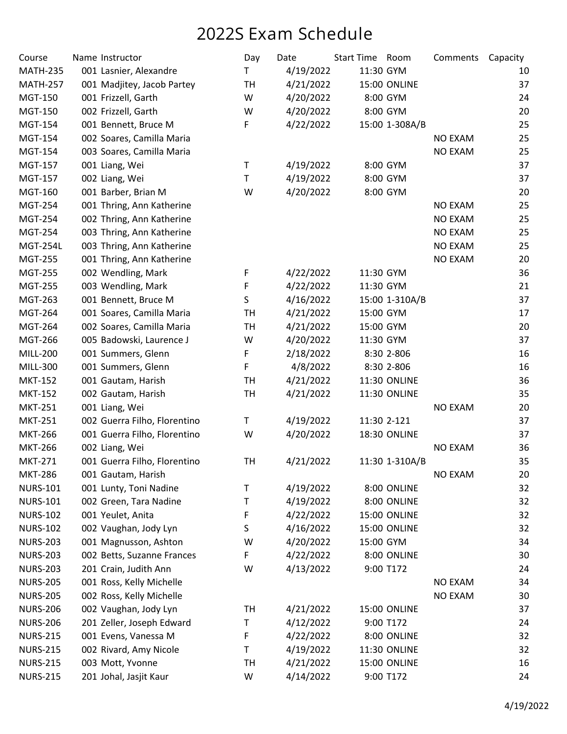| Course          | Name Instructor              | Day       | Date      | <b>Start Time</b> | Room           | Comments       | Capacity |
|-----------------|------------------------------|-----------|-----------|-------------------|----------------|----------------|----------|
| <b>MATH-235</b> | 001 Lasnier, Alexandre       | T         | 4/19/2022 | 11:30 GYM         |                |                | 10       |
| <b>MATH-257</b> | 001 Madjitey, Jacob Partey   | TH        | 4/21/2022 |                   | 15:00 ONLINE   |                | 37       |
| MGT-150         | 001 Frizzell, Garth          | W         | 4/20/2022 |                   | 8:00 GYM       |                | 24       |
| <b>MGT-150</b>  | 002 Frizzell, Garth          | W         | 4/20/2022 |                   | 8:00 GYM       |                | 20       |
| <b>MGT-154</b>  | 001 Bennett, Bruce M         | F         | 4/22/2022 |                   | 15:00 1-308A/B |                | 25       |
| <b>MGT-154</b>  | 002 Soares, Camilla Maria    |           |           |                   |                | <b>NO EXAM</b> | 25       |
| <b>MGT-154</b>  | 003 Soares, Camilla Maria    |           |           |                   |                | <b>NO EXAM</b> | 25       |
| <b>MGT-157</b>  | 001 Liang, Wei               | T         | 4/19/2022 |                   | 8:00 GYM       |                | 37       |
| <b>MGT-157</b>  | 002 Liang, Wei               | т         | 4/19/2022 |                   | 8:00 GYM       |                | 37       |
| <b>MGT-160</b>  | 001 Barber, Brian M          | W         | 4/20/2022 |                   | 8:00 GYM       |                | 20       |
| <b>MGT-254</b>  | 001 Thring, Ann Katherine    |           |           |                   |                | <b>NO EXAM</b> | 25       |
| <b>MGT-254</b>  | 002 Thring, Ann Katherine    |           |           |                   |                | <b>NO EXAM</b> | 25       |
| <b>MGT-254</b>  | 003 Thring, Ann Katherine    |           |           |                   |                | <b>NO EXAM</b> | 25       |
| <b>MGT-254L</b> | 003 Thring, Ann Katherine    |           |           |                   |                | <b>NO EXAM</b> | 25       |
| <b>MGT-255</b>  | 001 Thring, Ann Katherine    |           |           |                   |                | <b>NO EXAM</b> | 20       |
| <b>MGT-255</b>  | 002 Wendling, Mark           | F         | 4/22/2022 | 11:30 GYM         |                |                | 36       |
| <b>MGT-255</b>  | 003 Wendling, Mark           | F         | 4/22/2022 | 11:30 GYM         |                |                | 21       |
| MGT-263         | 001 Bennett, Bruce M         | S         | 4/16/2022 |                   | 15:00 1-310A/B |                | 37       |
| <b>MGT-264</b>  | 001 Soares, Camilla Maria    | TH        | 4/21/2022 | 15:00 GYM         |                |                | 17       |
| <b>MGT-264</b>  | 002 Soares, Camilla Maria    | <b>TH</b> | 4/21/2022 | 15:00 GYM         |                |                | 20       |
| <b>MGT-266</b>  | 005 Badowski, Laurence J     | W         | 4/20/2022 | 11:30 GYM         |                |                | 37       |
| <b>MILL-200</b> | 001 Summers, Glenn           | F         | 2/18/2022 |                   | 8:30 2-806     |                | 16       |
| MILL-300        | 001 Summers, Glenn           | F         | 4/8/2022  |                   | 8:30 2-806     |                | 16       |
| <b>MKT-152</b>  | 001 Gautam, Harish           | TH        | 4/21/2022 |                   | 11:30 ONLINE   |                | 36       |
| <b>MKT-152</b>  | 002 Gautam, Harish           | TH        | 4/21/2022 |                   | 11:30 ONLINE   |                | 35       |
| <b>MKT-251</b>  | 001 Liang, Wei               |           |           |                   |                | <b>NO EXAM</b> | 20       |
| <b>MKT-251</b>  | 002 Guerra Filho, Florentino | T         | 4/19/2022 |                   | 11:30 2-121    |                | 37       |
| <b>MKT-266</b>  | 001 Guerra Filho, Florentino | W         | 4/20/2022 |                   | 18:30 ONLINE   |                | 37       |
| <b>MKT-266</b>  | 002 Liang, Wei               |           |           |                   |                | <b>NO EXAM</b> | 36       |
| <b>MKT-271</b>  | 001 Guerra Filho, Florentino | TH        | 4/21/2022 |                   | 11:30 1-310A/B |                | 35       |
| <b>MKT-286</b>  | 001 Gautam, Harish           |           |           |                   |                | <b>NO EXAM</b> | 20       |
| <b>NURS-101</b> | 001 Lunty, Toni Nadine       | Τ         | 4/19/2022 |                   | 8:00 ONLINE    |                | 32       |
| <b>NURS-101</b> | 002 Green, Tara Nadine       | Τ         | 4/19/2022 |                   | 8:00 ONLINE    |                | 32       |
| <b>NURS-102</b> | 001 Yeulet, Anita            | F         | 4/22/2022 |                   | 15:00 ONLINE   |                | 32       |
| <b>NURS-102</b> | 002 Vaughan, Jody Lyn        | S         | 4/16/2022 |                   | 15:00 ONLINE   |                | 32       |
| <b>NURS-203</b> | 001 Magnusson, Ashton        | W         | 4/20/2022 | 15:00 GYM         |                |                | 34       |
| <b>NURS-203</b> | 002 Betts, Suzanne Frances   | F         | 4/22/2022 |                   | 8:00 ONLINE    |                | 30       |
| <b>NURS-203</b> | 201 Crain, Judith Ann        | W         | 4/13/2022 |                   | 9:00 T172      |                | 24       |
| <b>NURS-205</b> | 001 Ross, Kelly Michelle     |           |           |                   |                | <b>NO EXAM</b> | 34       |
| <b>NURS-205</b> | 002 Ross, Kelly Michelle     |           |           |                   |                | <b>NO EXAM</b> | 30       |
| <b>NURS-206</b> | 002 Vaughan, Jody Lyn        | TH        | 4/21/2022 |                   | 15:00 ONLINE   |                | 37       |
| <b>NURS-206</b> | 201 Zeller, Joseph Edward    | Τ         | 4/12/2022 |                   | 9:00 T172      |                | 24       |
| <b>NURS-215</b> | 001 Evens, Vanessa M         | F         | 4/22/2022 |                   | 8:00 ONLINE    |                | 32       |
| <b>NURS-215</b> | 002 Rivard, Amy Nicole       | Τ         | 4/19/2022 |                   | 11:30 ONLINE   |                | 32       |
| <b>NURS-215</b> | 003 Mott, Yvonne             | TH        | 4/21/2022 |                   | 15:00 ONLINE   |                | 16       |
| <b>NURS-215</b> | 201 Johal, Jasjit Kaur       | W         | 4/14/2022 |                   | 9:00 T172      |                | 24       |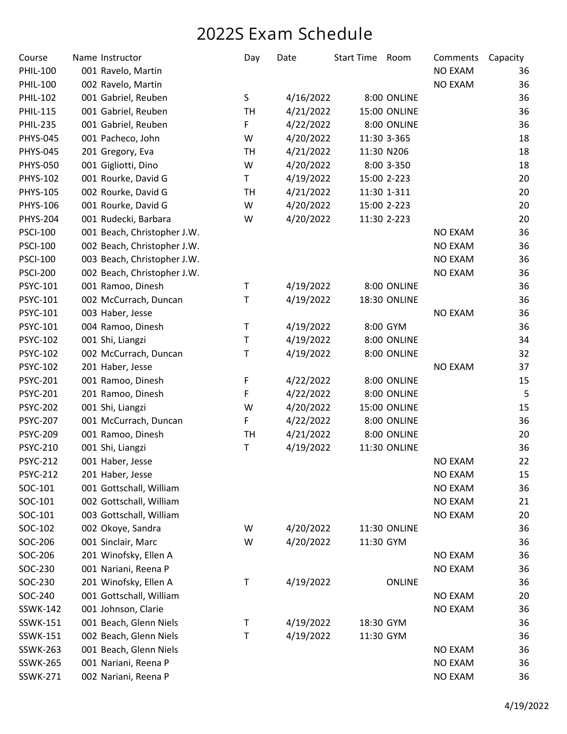| Course          | Name Instructor             | Day       | Date      | <b>Start Time</b> | Room          | Comments       | Capacity |
|-----------------|-----------------------------|-----------|-----------|-------------------|---------------|----------------|----------|
| <b>PHIL-100</b> | 001 Ravelo, Martin          |           |           |                   |               | <b>NO EXAM</b> | 36       |
| <b>PHIL-100</b> | 002 Ravelo, Martin          |           |           |                   |               | <b>NO EXAM</b> | 36       |
| <b>PHIL-102</b> | 001 Gabriel, Reuben         | S         | 4/16/2022 |                   | 8:00 ONLINE   |                | 36       |
| <b>PHIL-115</b> | 001 Gabriel, Reuben         | TH        | 4/21/2022 |                   | 15:00 ONLINE  |                | 36       |
| <b>PHIL-235</b> | 001 Gabriel, Reuben         | F         | 4/22/2022 |                   | 8:00 ONLINE   |                | 36       |
| <b>PHYS-045</b> | 001 Pacheco, John           | W         | 4/20/2022 |                   | 11:30 3-365   |                | 18       |
| <b>PHYS-045</b> | 201 Gregory, Eva            | <b>TH</b> | 4/21/2022 |                   | 11:30 N206    |                | 18       |
| <b>PHYS-050</b> | 001 Gigliotti, Dino         | W         | 4/20/2022 |                   | 8:00 3-350    |                | 18       |
| PHYS-102        | 001 Rourke, David G         | T         | 4/19/2022 |                   | 15:00 2-223   |                | 20       |
| <b>PHYS-105</b> | 002 Rourke, David G         | <b>TH</b> | 4/21/2022 |                   | 11:30 1-311   |                | 20       |
| PHYS-106        | 001 Rourke, David G         | W         | 4/20/2022 |                   | 15:00 2-223   |                | 20       |
| <b>PHYS-204</b> | 001 Rudecki, Barbara        | W         | 4/20/2022 |                   | 11:30 2-223   |                | 20       |
| <b>PSCI-100</b> | 001 Beach, Christopher J.W. |           |           |                   |               | <b>NO EXAM</b> | 36       |
| <b>PSCI-100</b> | 002 Beach, Christopher J.W. |           |           |                   |               | <b>NO EXAM</b> | 36       |
| <b>PSCI-100</b> | 003 Beach, Christopher J.W. |           |           |                   |               | <b>NO EXAM</b> | 36       |
| <b>PSCI-200</b> | 002 Beach, Christopher J.W. |           |           |                   |               | <b>NO EXAM</b> | 36       |
| PSYC-101        | 001 Ramoo, Dinesh           | Τ         | 4/19/2022 |                   | 8:00 ONLINE   |                | 36       |
| <b>PSYC-101</b> | 002 McCurrach, Duncan       | Τ         | 4/19/2022 |                   | 18:30 ONLINE  |                | 36       |
| PSYC-101        | 003 Haber, Jesse            |           |           |                   |               | <b>NO EXAM</b> | 36       |
| PSYC-101        | 004 Ramoo, Dinesh           | T         | 4/19/2022 |                   | 8:00 GYM      |                | 36       |
| <b>PSYC-102</b> | 001 Shi, Liangzi            | Τ         | 4/19/2022 |                   | 8:00 ONLINE   |                | 34       |
| <b>PSYC-102</b> | 002 McCurrach, Duncan       | Τ         | 4/19/2022 |                   | 8:00 ONLINE   |                | 32       |
| <b>PSYC-102</b> | 201 Haber, Jesse            |           |           |                   |               | <b>NO EXAM</b> | 37       |
| <b>PSYC-201</b> | 001 Ramoo, Dinesh           | F         | 4/22/2022 |                   | 8:00 ONLINE   |                | 15       |
| <b>PSYC-201</b> | 201 Ramoo, Dinesh           | F         | 4/22/2022 |                   | 8:00 ONLINE   |                | 5        |
| <b>PSYC-202</b> | 001 Shi, Liangzi            | W         | 4/20/2022 |                   | 15:00 ONLINE  |                | 15       |
| <b>PSYC-207</b> | 001 McCurrach, Duncan       | F         | 4/22/2022 |                   | 8:00 ONLINE   |                | 36       |
| <b>PSYC-209</b> | 001 Ramoo, Dinesh           | <b>TH</b> | 4/21/2022 |                   | 8:00 ONLINE   |                | 20       |
| <b>PSYC-210</b> | 001 Shi, Liangzi            | Τ         | 4/19/2022 |                   | 11:30 ONLINE  |                | 36       |
| <b>PSYC-212</b> | 001 Haber, Jesse            |           |           |                   |               | <b>NO EXAM</b> | 22       |
| <b>PSYC-212</b> | 201 Haber, Jesse            |           |           |                   |               | <b>NO EXAM</b> | 15       |
| SOC-101         | 001 Gottschall, William     |           |           |                   |               | <b>NO EXAM</b> | 36       |
| SOC-101         | 002 Gottschall, William     |           |           |                   |               | <b>NO EXAM</b> | 21       |
| SOC-101         | 003 Gottschall, William     |           |           |                   |               | NO EXAM        | 20       |
| SOC-102         | 002 Okoye, Sandra           | W         | 4/20/2022 |                   | 11:30 ONLINE  |                | 36       |
| SOC-206         | 001 Sinclair, Marc          | W         | 4/20/2022 |                   | 11:30 GYM     |                | 36       |
| SOC-206         | 201 Winofsky, Ellen A       |           |           |                   |               | <b>NO EXAM</b> | 36       |
| SOC-230         | 001 Nariani, Reena P        |           |           |                   |               | <b>NO EXAM</b> | 36       |
| SOC-230         | 201 Winofsky, Ellen A       | Τ         | 4/19/2022 |                   | <b>ONLINE</b> |                | 36       |
| SOC-240         | 001 Gottschall, William     |           |           |                   |               | <b>NO EXAM</b> | 20       |
| SSWK-142        | 001 Johnson, Clarie         |           |           |                   |               | <b>NO EXAM</b> | 36       |
| SSWK-151        | 001 Beach, Glenn Niels      | Τ         | 4/19/2022 |                   | 18:30 GYM     |                | 36       |
| SSWK-151        | 002 Beach, Glenn Niels      | Τ         | 4/19/2022 |                   | 11:30 GYM     |                | 36       |
| <b>SSWK-263</b> | 001 Beach, Glenn Niels      |           |           |                   |               | <b>NO EXAM</b> | 36       |
| <b>SSWK-265</b> | 001 Nariani, Reena P        |           |           |                   |               | <b>NO EXAM</b> | 36       |
| <b>SSWK-271</b> | 002 Nariani, Reena P        |           |           |                   |               | <b>NO EXAM</b> | 36       |